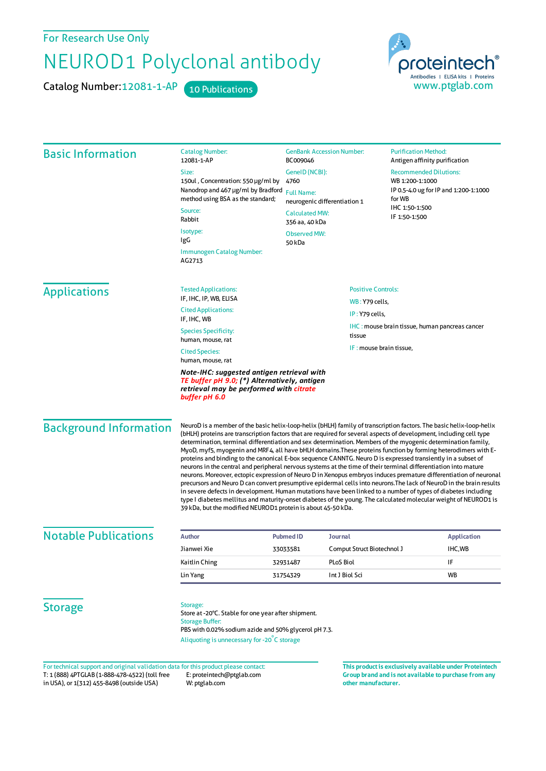For Research Use Only

## NEUROD1 Polyclonal antibody

Catalog Number: 12081-1-AP 10 Publications



| <b>Basic Information</b>      | <b>Catalog Number:</b><br>12081-1-AP                                                                                                                                                                                                                                                                                                                                                                                                                                                                                                                                                                                                                                                                                                                                                                                                                                                                                                                                                                                                                                                                                                                                                                                                                             | <b>GenBank Accession Number:</b><br>BC009046                                                                                                            |                            | <b>Purification Method:</b><br>Antigen affinity purification                                                                           |                    |
|-------------------------------|------------------------------------------------------------------------------------------------------------------------------------------------------------------------------------------------------------------------------------------------------------------------------------------------------------------------------------------------------------------------------------------------------------------------------------------------------------------------------------------------------------------------------------------------------------------------------------------------------------------------------------------------------------------------------------------------------------------------------------------------------------------------------------------------------------------------------------------------------------------------------------------------------------------------------------------------------------------------------------------------------------------------------------------------------------------------------------------------------------------------------------------------------------------------------------------------------------------------------------------------------------------|---------------------------------------------------------------------------------------------------------------------------------------------------------|----------------------------|----------------------------------------------------------------------------------------------------------------------------------------|--------------------|
|                               | Size:<br>150ul, Concentration: 550 µg/ml by<br>Nanodrop and 467 µg/ml by Bradford                                                                                                                                                                                                                                                                                                                                                                                                                                                                                                                                                                                                                                                                                                                                                                                                                                                                                                                                                                                                                                                                                                                                                                                | GenelD (NCBI):<br>4760<br><b>Full Name:</b><br>neurogenic differentiation 1<br><b>Calculated MW:</b><br>356 aa, 40 kDa<br><b>Observed MW:</b><br>50 kDa |                            | <b>Recommended Dilutions:</b><br>WB 1:200-1:1000<br>IP 0.5-4.0 ug for IP and 1:200-1:1000<br>for WB<br>IHC 1:50-1:500<br>IF 1:50-1:500 |                    |
|                               | method using BSA as the standard;<br>Source:                                                                                                                                                                                                                                                                                                                                                                                                                                                                                                                                                                                                                                                                                                                                                                                                                                                                                                                                                                                                                                                                                                                                                                                                                     |                                                                                                                                                         |                            |                                                                                                                                        |                    |
|                               | Rabbit                                                                                                                                                                                                                                                                                                                                                                                                                                                                                                                                                                                                                                                                                                                                                                                                                                                                                                                                                                                                                                                                                                                                                                                                                                                           |                                                                                                                                                         |                            |                                                                                                                                        |                    |
|                               | Isotype:<br>IgG                                                                                                                                                                                                                                                                                                                                                                                                                                                                                                                                                                                                                                                                                                                                                                                                                                                                                                                                                                                                                                                                                                                                                                                                                                                  |                                                                                                                                                         |                            |                                                                                                                                        |                    |
|                               | Immunogen Catalog Number:<br>AG2713                                                                                                                                                                                                                                                                                                                                                                                                                                                                                                                                                                                                                                                                                                                                                                                                                                                                                                                                                                                                                                                                                                                                                                                                                              |                                                                                                                                                         |                            |                                                                                                                                        |                    |
| <b>Applications</b>           | <b>Tested Applications:</b><br>IF, IHC, IP, WB, ELISA                                                                                                                                                                                                                                                                                                                                                                                                                                                                                                                                                                                                                                                                                                                                                                                                                                                                                                                                                                                                                                                                                                                                                                                                            | <b>Positive Controls:</b>                                                                                                                               |                            |                                                                                                                                        |                    |
|                               | <b>Cited Applications:</b>                                                                                                                                                                                                                                                                                                                                                                                                                                                                                                                                                                                                                                                                                                                                                                                                                                                                                                                                                                                                                                                                                                                                                                                                                                       | <b>WB: Y79 cells,</b><br>IP: Y79 cells,                                                                                                                 |                            |                                                                                                                                        |                    |
|                               | IF, IHC, WB                                                                                                                                                                                                                                                                                                                                                                                                                                                                                                                                                                                                                                                                                                                                                                                                                                                                                                                                                                                                                                                                                                                                                                                                                                                      | <b>IHC: mouse brain tissue, human pancreas cancer</b>                                                                                                   |                            |                                                                                                                                        |                    |
|                               | <b>Species Specificity:</b><br>human, mouse, rat                                                                                                                                                                                                                                                                                                                                                                                                                                                                                                                                                                                                                                                                                                                                                                                                                                                                                                                                                                                                                                                                                                                                                                                                                 | tissue                                                                                                                                                  |                            |                                                                                                                                        |                    |
|                               | <b>Cited Species:</b><br>human, mouse, rat                                                                                                                                                                                                                                                                                                                                                                                                                                                                                                                                                                                                                                                                                                                                                                                                                                                                                                                                                                                                                                                                                                                                                                                                                       | IF: mouse brain tissue,                                                                                                                                 |                            |                                                                                                                                        |                    |
|                               | Note-IHC: suggested antigen retrieval with<br>TE buffer pH 9.0; (*) Alternatively, antigen<br>retrieval may be performed with citrate<br>buffer pH 6.0                                                                                                                                                                                                                                                                                                                                                                                                                                                                                                                                                                                                                                                                                                                                                                                                                                                                                                                                                                                                                                                                                                           |                                                                                                                                                         |                            |                                                                                                                                        |                    |
| <b>Background Information</b> | NeuroD is a member of the basic helix-loop-helix (bHLH) family of transcription factors. The basic helix-loop-helix<br>(bHLH) proteins are transcription factors that are required for several aspects of development, including cell type<br>determination, terminal differentiation and sex determination. Members of the myogenic determination family,<br>MyoD, myf5, myogenin and MRF4, all have bHLH domains. These proteins function by forming heterodimers with E-<br>proteins and binding to the canonical E-box sequence CANNTG. Neuro D is expressed transiently in a subset of<br>neurons in the central and peripheral nervous systems at the time of their terminal differentiation into mature<br>neurons. Moreover, ectopic expression of Neuro D in Xenopus embryos induces premature differentiation of neuronal<br>precursors and Neuro D can convert presumptive epidermal cells into neurons. The lack of NeuroD in the brain results<br>in severe defects in development. Human mutations have been linked to a number of types of diabetes including<br>type I diabetes mellitus and maturity-onset diabetes of the young. The calculated molecular weight of NEUROD1 is<br>39 kDa, but the modified NEUROD1 protein is about 45-50 kDa. |                                                                                                                                                         |                            |                                                                                                                                        |                    |
| <b>Notable Publications</b>   |                                                                                                                                                                                                                                                                                                                                                                                                                                                                                                                                                                                                                                                                                                                                                                                                                                                                                                                                                                                                                                                                                                                                                                                                                                                                  |                                                                                                                                                         |                            |                                                                                                                                        |                    |
|                               | <b>Author</b>                                                                                                                                                                                                                                                                                                                                                                                                                                                                                                                                                                                                                                                                                                                                                                                                                                                                                                                                                                                                                                                                                                                                                                                                                                                    | <b>Pubmed ID</b><br><b>Journal</b>                                                                                                                      |                            |                                                                                                                                        | <b>Application</b> |
|                               | Jianwei Xie                                                                                                                                                                                                                                                                                                                                                                                                                                                                                                                                                                                                                                                                                                                                                                                                                                                                                                                                                                                                                                                                                                                                                                                                                                                      | 33033581                                                                                                                                                | Comput Struct Biotechnol J |                                                                                                                                        | IHC, WB            |
|                               | Kaitlin Ching                                                                                                                                                                                                                                                                                                                                                                                                                                                                                                                                                                                                                                                                                                                                                                                                                                                                                                                                                                                                                                                                                                                                                                                                                                                    | 32931487                                                                                                                                                | PLoS Biol                  |                                                                                                                                        | IF<br><b>WB</b>    |
|                               | Lin Yang                                                                                                                                                                                                                                                                                                                                                                                                                                                                                                                                                                                                                                                                                                                                                                                                                                                                                                                                                                                                                                                                                                                                                                                                                                                         | 31754329                                                                                                                                                | Int J Biol Sci             |                                                                                                                                        |                    |
| <b>Storage</b>                | Storage:<br>Store at -20°C. Stable for one year after shipment.<br><b>Storage Buffer:</b><br>PBS with 0.02% sodium azide and 50% glycerol pH 7.3.<br>Aliquoting is unnecessary for -20°C storage                                                                                                                                                                                                                                                                                                                                                                                                                                                                                                                                                                                                                                                                                                                                                                                                                                                                                                                                                                                                                                                                 |                                                                                                                                                         |                            |                                                                                                                                        |                    |
|                               |                                                                                                                                                                                                                                                                                                                                                                                                                                                                                                                                                                                                                                                                                                                                                                                                                                                                                                                                                                                                                                                                                                                                                                                                                                                                  |                                                                                                                                                         |                            |                                                                                                                                        |                    |

T: 1 (888) 4PTGLAB (1-888-478-4522) (toll free in USA), or 1(312) 455-8498 (outside USA) E: proteintech@ptglab.com W: ptglab.com

**Group brand and is not available to purchase from any other manufacturer.**